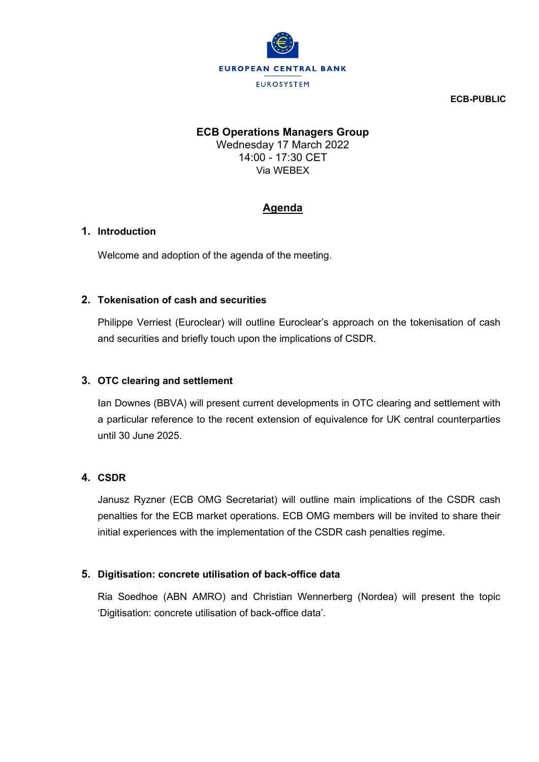

**ECB-PUBLIC**

# **ECB Operations Managers Group**

Wednesday 17 March 2022 14:00 - 17:30 CET Via WEBEX

# **Agenda**

#### **1. Introduction**

Welcome and adoption of the agenda of the meeting.

## **2. Tokenisation of cash and securities**

Philippe Verriest (Euroclear) will outline Euroclear's approach on the tokenisation of cash and securities and briefly touch upon the implications of CSDR.

## **3. OTC clearing and settlement**

Ian Downes (BBVA) will present current developments in OTC clearing and settlement with a particular reference to the recent extension of equivalence for UK central counterparties until 30 June 2025.

# **4. CSDR**

Janusz Ryzner (ECB OMG Secretariat) will outline main implications of the CSDR cash penalties for the ECB market operations. ECB OMG members will be invited to share their initial experiences with the implementation of the CSDR cash penalties regime.

#### **5. Digitisation: concrete utilisation of back-office data**

Ria Soedhoe (ABN AMRO) and Christian Wennerberg (Nordea) will present the topic 'Digitisation: concrete utilisation of back-office data'.